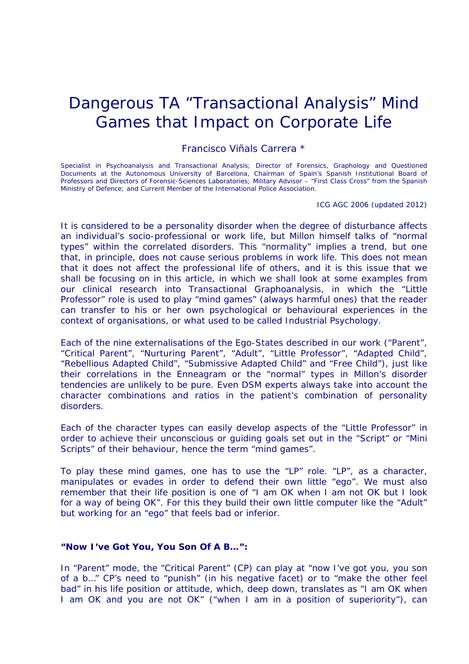# Dangerous TA "Transactional Analysis" Mind Games that Impact on Corporate Life

*Francisco Viñals Carrera \**

Specialist in Psychoanalysis and Transactional Analysis; Director of Forensics, Graphology and Questioned Documents at the Autonomous University of Barcelona, Chairman of Spain's Spanish Institutional Board of Professors and Directors of Forensic-Sciences Laboratories; Military Advisor – "First Class Cross" from the Spanish Ministry of Defence; and Current Member of the International Police Association.

ICG AGC 2006 (updated 2012)

It is considered to be a personality disorder when the degree of disturbance affects an individual's socio-professional or work life, but Millon himself talks of "normal types" within the correlated disorders. This "normality" implies a trend, but one that, in principle, does not cause serious problems in work life. This does not mean that it does not affect the professional life of others, and it is this issue that we shall be focusing on in this article, in which we shall look at some examples from our clinical research into Transactional Graphoanalysis, in which the "Little Professor" role is used to play "mind games" (always harmful ones) that the reader can transfer to his or her own psychological or behavioural experiences in the context of organisations, or what used to be called Industrial Psychology.

Each of the nine externalisations of the Ego-States described in our work ("Parent", "Critical Parent", "Nurturing Parent", "Adult", "Little Professor", "Adapted Child", "Rebellious Adapted Child", "Submissive Adapted Child" and "Free Child"), just like their correlations in the Enneagram or the "normal" types in Millon's disorder tendencies are unlikely to be pure. Even DSM experts always take into account the character combinations and ratios in the patient's combination of personality disorders.

Each of the character types can easily develop aspects of the "Little Professor" in order to achieve their unconscious or guiding goals set out in the "Script" or "Mini Scripts" of their behaviour, hence the term "mind games".

To play these mind games, one has to use the "LP" role. "LP", as a character, manipulates or evades in order to defend their own little "ego". We must also remember that their life position is one of "I am OK when I am not OK but I look for a way of being OK". For this they build their own little computer like the "Adult" but working for an "ego" that feels bad or inferior.

# **"Now I've Got You, You Son Of A B…":**

In "Parent" mode, the "Critical Parent" (CP) can play at "now I've got you, you son of a b…" CP's need to "punish" (in his negative facet) or to "make the other feel bad" in his life position or attitude, which, deep down, translates as "I am OK when I am OK and you are not OK" ("when I am in a position of superiority"), can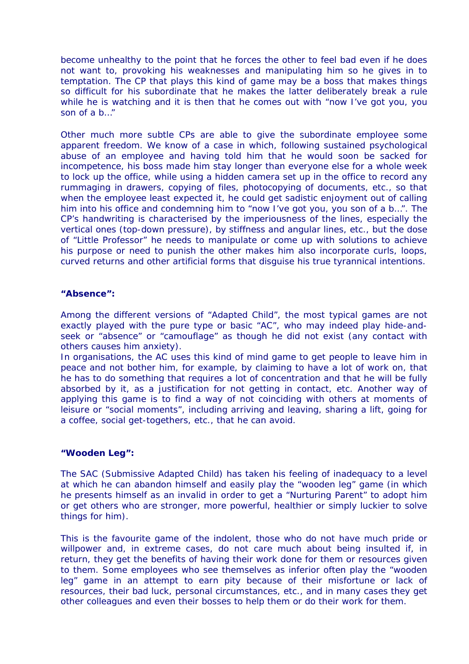become unhealthy to the point that he forces the other to feel bad even if he does not want to, provoking his weaknesses and manipulating him so he gives in to temptation. The CP that plays this kind of game may be a boss that makes things so difficult for his subordinate that he makes the latter deliberately break a rule while he is watching and it is then that he comes out with "now I've got you, you son of a b…"

Other much more subtle CPs are able to give the subordinate employee some apparent freedom. We know of a case in which, following sustained psychological abuse of an employee and having told him that he would soon be sacked for incompetence, his boss made him stay longer than everyone else for a whole week to lock up the office, while using a hidden camera set up in the office to record any rummaging in drawers, copying of files, photocopying of documents, etc., so that when the employee least expected it, he could get sadistic enjoyment out of calling him into his office and condemning him to "now I've got you, you son of a b…". The CP's handwriting is characterised by the imperiousness of the lines, especially the vertical ones (top-down pressure), by stiffness and angular lines, etc., but the dose of "Little Professor" he needs to manipulate or come up with solutions to achieve his purpose or need to punish the other makes him also incorporate curls, loops, curved returns and other artificial forms that disguise his true tyrannical intentions.

### **"Absence":**

Among the different versions of "Adapted Child", the most typical games are not exactly played with the pure type or basic "AC", who may indeed play hide-andseek or "absence" or "camouflage" as though he did not exist (any contact with others causes him anxiety).

In organisations, the AC uses this kind of mind game to get people to leave him in peace and not bother him, for example, by claiming to have a lot of work on, that he has to do something that requires a lot of concentration and that he will be fully absorbed by it, as a justification for not getting in contact, etc. Another way of applying this game is to find a way of not coinciding with others at moments of leisure or "social moments", including arriving and leaving, sharing a lift, going for a coffee, social get-togethers, etc., that he can avoid.

# **"Wooden Leg":**

The SAC (Submissive Adapted Child) has taken his feeling of inadequacy to a level at which he can abandon himself and easily play the "wooden leg" game (in which he presents himself as an invalid in order to get a "Nurturing Parent" to adopt him or get others who are stronger, more powerful, healthier or simply luckier to solve things for him).

This is the favourite game of the indolent, those who do not have much pride or willpower and, in extreme cases, do not care much about being insulted if, in return, they get the benefits of having their work done for them or resources given to them. Some employees who see themselves as inferior often play the "wooden leg" game in an attempt to earn pity because of their misfortune or lack of resources, their bad luck, personal circumstances, etc., and in many cases they get other colleagues and even their bosses to help them or do their work for them.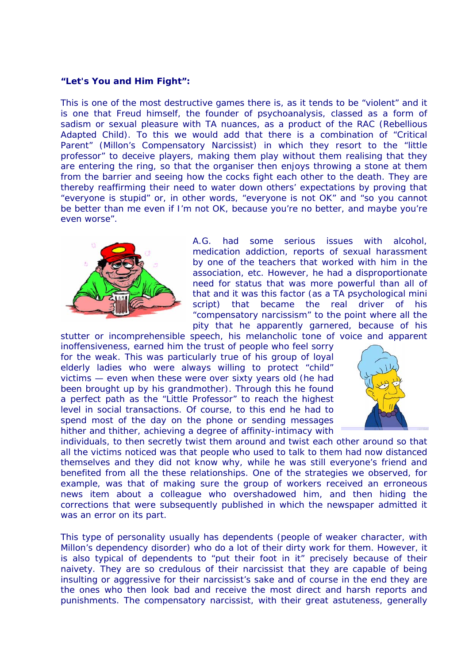### **"Let's You and Him Fight":**

This is one of the most destructive games there is, as it tends to be "violent" and it is one that Freud himself, the founder of psychoanalysis, classed as a form of sadism or sexual pleasure with TA nuances, as a product of the RAC (Rebellious Adapted Child). To this we would add that there is a combination of "Critical Parent" (Millon's Compensatory Narcissist) in which they resort to the "little professor" to deceive players, making them play without them realising that they are entering the ring, so that the organiser then enjoys throwing a stone at them from the barrier and seeing how the cocks fight each other to the death. They are thereby reaffirming their need to water down others' expectations by proving that "everyone is stupid" or, in other words, "everyone is not OK" and "so you cannot be better than me even if I'm not OK, because you're no better, and maybe you're even worse".



A.G. had some serious issues with alcohol, medication addiction, reports of sexual harassment by one of the teachers that worked with him in the association, etc. However, he had a disproportionate need for status that was more powerful than all of that and it was this factor (as a TA psychological mini script) that became the real driver of his "compensatory narcissism" to the point where all the pity that he apparently garnered, because of his

stutter or incomprehensible speech, his melancholic tone of voice and apparent inoffensiveness, earned him the trust of people who feel sorry for the weak. This was particularly true of his group of loyal elderly ladies who were always willing to protect "child" victims — even when these were over sixty years old (he had been brought up by his grandmother). Through this he found a perfect path as the "Little Professor" to reach the highest level in social transactions. Of course, to this end he had to spend most of the day on the phone or sending messages hither and thither, achieving a degree of affinity-intimacy with



individuals, to then secretly twist them around and twist each other around so that all the victims noticed was that people who used to talk to them had now distanced themselves and they did not know why, while he was still everyone's friend and benefited from all the these relationships. One of the strategies we observed, for example, was that of making sure the group of workers received an erroneous news item about a colleague who overshadowed him, and then hiding the corrections that were subsequently published in which the newspaper admitted it was an error on its part.

This type of personality usually has dependents (people of weaker character, with Millon's dependency disorder) who do a lot of their dirty work for them. However, it is also typical of dependents to "put their foot in it" precisely because of their naivety. They are so credulous of their narcissist that they are capable of being insulting or aggressive for their narcissist's sake and of course in the end they are the ones who then look bad and receive the most direct and harsh reports and punishments. The compensatory narcissist, with their great astuteness, generally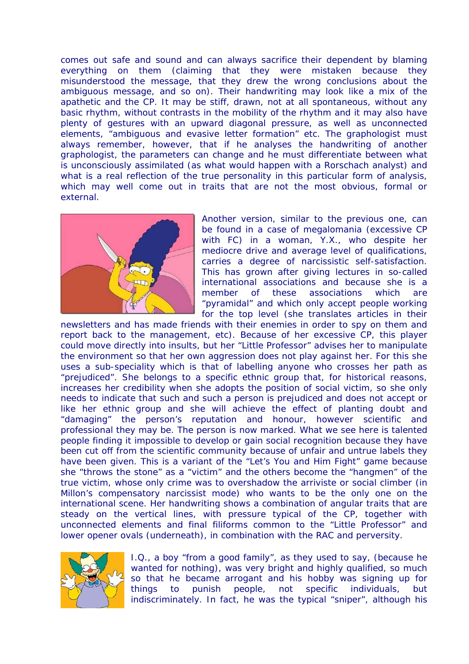comes out safe and sound and can always sacrifice their dependent by blaming everything on them (claiming that they were mistaken because they misunderstood the message, that they drew the wrong conclusions about the ambiguous message, and so on). Their handwriting may look like a mix of the apathetic and the CP. It may be stiff, drawn, not at all spontaneous, without any basic rhythm, without contrasts in the mobility of the rhythm and it may also have plenty of gestures with an upward diagonal pressure, as well as unconnected elements, "ambiguous and evasive letter formation" etc. The graphologist must always remember, however, that if he analyses the handwriting of another graphologist, the parameters can change and he must differentiate between what is unconsciously assimilated (as what would happen with a Rorschach analyst) and what is a real reflection of the true personality in this particular form of analysis, which may well come out in traits that are not the most obvious, formal or external.



Another version, similar to the previous one, can be found in a case of megalomania (excessive CP with FC) in a woman, Y.X., who despite her mediocre drive and average level of qualifications, carries a degree of narcissistic self-satisfaction. This has grown after giving lectures in so-called international associations and because she is a member of these associations which are "pyramidal" and which only accept people working for the top level (she translates articles in their

newsletters and has made friends with their enemies in order to spy on them and report back to the management, etc). Because of her excessive CP, this player could move directly into insults, but her "Little Professor" advises her to manipulate the environment so that her own aggression does not play against her. For this she uses a sub-speciality which is that of labelling anyone who crosses her path as "prejudiced". She belongs to a specific ethnic group that, for historical reasons, increases her credibility when she adopts the position of social victim, so she only needs to indicate that such and such a person is prejudiced and does not accept or like her ethnic group and she will achieve the effect of planting doubt and "damaging" the person's reputation and honour, however scientific and professional they may be. The person is now marked. What we see here is talented people finding it impossible to develop or gain social recognition because they have been cut off from the scientific community because of unfair and untrue labels they have been given. This is a variant of the "Let's You and Him Fight" game because she "throws the stone" as a "victim" and the others become the "hangmen" of the true victim, whose only crime was to overshadow the arriviste or social climber (in Millon's compensatory narcissist mode) who wants to be the only one on the international scene. Her handwriting shows a combination of angular traits that are steady on the vertical lines, with pressure typical of the CP, together with unconnected elements and final filiforms common to the "Little Professor" and lower opener ovals (underneath), in combination with the RAC and perversity.



I.Q., a boy "from a good family", as they used to say, (because he wanted for nothing), was very bright and highly qualified, so much so that he became arrogant and his hobby was signing up for things to punish people, not specific individuals, but indiscriminately. In fact, he was the typical "sniper", although his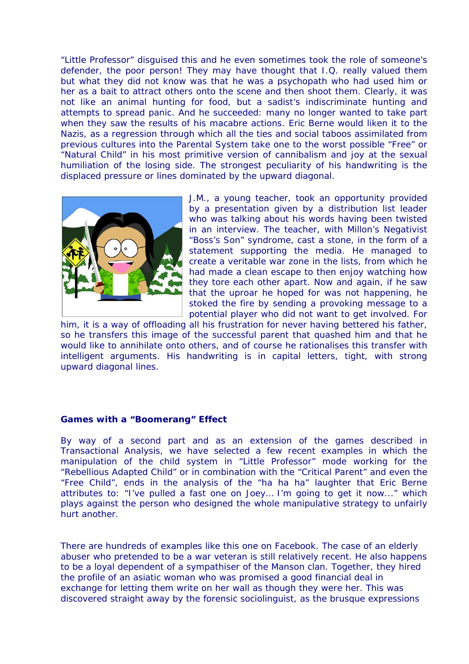"Little Professor" disguised this and he even sometimes took the role of someone's defender, the poor person! They may have thought that I.Q. really valued them but what they did not know was that he was a psychopath who had used him or her as a bait to attract others onto the scene and then shoot them. Clearly, it was not like an animal hunting for food, but a sadist's indiscriminate hunting and attempts to spread panic. And he succeeded: many no longer wanted to take part when they saw the results of his macabre actions. Eric Berne would liken it to the Nazis, as a regression through which all the ties and social taboos assimilated from previous cultures into the Parental System take one to the worst possible "Free" or "Natural Child" in his most primitive version of cannibalism and joy at the sexual humiliation of the losing side. The strongest peculiarity of his handwriting is the displaced pressure or lines dominated by the upward diagonal.



J.M., a young teacher, took an opportunity provided by a presentation given by a distribution list leader who was talking about his words having been twisted in an interview. The teacher, with Millon's Negativist "Boss's Son" syndrome, cast a stone, in the form of a statement supporting the media. He managed to create a veritable war zone in the lists, from which he had made a clean escape to then enjoy watching how they tore each other apart. Now and again, if he saw that the uproar he hoped for was not happening, he stoked the fire by sending a provoking message to a potential player who did not want to get involved. For

him, it is a way of offloading all his frustration for never having bettered his father, so he transfers this image of the successful parent that quashed him and that he would like to annihilate onto others, and of course he rationalises this transfer with intelligent arguments. His handwriting is in capital letters, tight, with strong upward diagonal lines.

# **Games with a "Boomerang" Effect**

By way of a second part and as an extension of the games described in Transactional Analysis, we have selected a few recent examples in which the manipulation of the child system in "Little Professor" mode working for the "Rebellious Adapted Child" or in combination with the "Critical Parent" and even the "Free Child", ends in the analysis of the "ha ha ha" laughter that Eric Berne attributes to: *"I've pulled a fast one on Joey… I'm going to get it now...*" which plays against the person who designed the whole manipulative strategy to unfairly hurt another.

There are hundreds of examples like this one on Facebook. The case of an elderly abuser who pretended to be a war veteran is still relatively recent. He also happens to be a loyal dependent of a sympathiser of the Manson clan. Together, they hired the profile of an asiatic woman who was promised a good financial deal in exchange for letting them write on her wall as though they were her. This was discovered straight away by the forensic sociolinguist, as the brusque expressions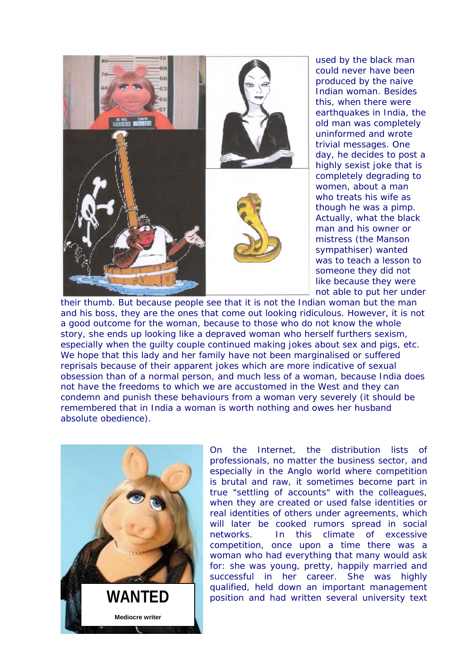

used by the black man could never have been produced by the naive Indian woman. Besides this, when there were earthquakes in India, the old man was completely uninformed and wrote trivial messages. One day, he decides to post a highly sexist joke that is completely degrading to women, about a man who treats his wife as though he was a pimp. Actually, what the black man and his owner or mistress (the Manson sympathiser) wanted was to teach a lesson to someone they did not like because they were not able to put her under

their thumb. But because people see that it is not the Indian woman but the man and his boss, they are the ones that come out looking ridiculous. However, it is not a good outcome for the woman, because to those who do not know the whole story, she ends up looking like a depraved woman who herself furthers sexism, especially when the guilty couple continued making jokes about sex and pigs, etc. We hope that this lady and her family have not been marginalised or suffered reprisals because of their apparent jokes which are more indicative of sexual obsession than of a normal person, and much less of a woman, because India does not have the freedoms to which we are accustomed in the West and they can condemn and punish these behaviours from a woman very severely (it should be remembered that in India a woman is worth nothing and owes her husband absolute obedience).



On the Internet, the distribution lists of professionals, no matter the business sector, and especially in the Anglo world where competition is brutal and raw, it sometimes become part in true "settling of accounts" with the colleagues, when they are created or used false identities or real identities of others under agreements, which will later be cooked rumors spread in social networks. In this climate of excessive competition, once upon a time there was a woman who had everything that many would ask for: she was young, pretty, happily married and successful in her career. She was highly qualified, held down an important management WANTED **position** and had written several university text